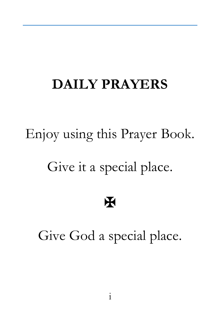#### **DAILY PRAYERS**

# Enjoy using this Prayer Book. Give it a special place.

#### ✠

Give God a special place.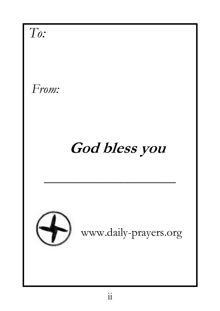*To:* *From:*   **God bless you** \_\_\_\_\_\_\_\_\_\_\_\_\_\_\_\_\_\_\_\_ www.daily-prayers.org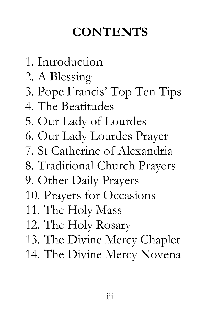#### **CONTENTS**

- 1. Introduction
- 2. A Blessing
- 3. Pope Francis' Top Ten Tips
- 4. The Beatitudes
- 5. Our Lady of Lourdes
- 6. Our Lady Lourdes Prayer
- 7. St Catherine of Alexandria
- 8. Traditional Church Prayers
- 9. Other Daily Prayers
- 10. Prayers for Occasions
- 11. The Holy Mass
- 12. The Holy Rosary
- 13. The Divine Mercy Chaplet
- 14. The Divine Mercy Novena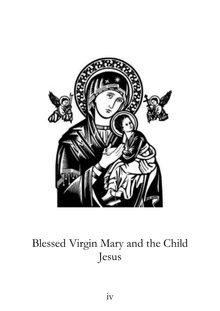

#### Blessed Virgin Mary and the Child Jesus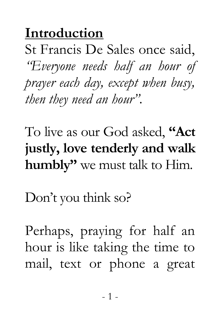#### **Introduction**

St Francis De Sales once said, *"Everyone needs half an hour of prayer each day, except when busy, then they need an hour".*

To live as our God asked, **"Act justly, love tenderly and walk humbly"** we must talk to Him.

Don't you think so?

Perhaps, praying for half an hour is like taking the time to mail, text or phone a great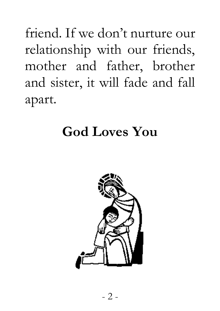friend. If we don't nurture our relationship with our friends, mother and father, brother and sister, it will fade and fall apart.

#### **God Loves You**

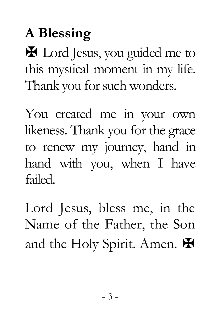# **A Blessing**

✠ Lord Jesus, you guided me to this mystical moment in my life. Thank you for such wonders.

You created me in your own likeness. Thank you for the grace to renew my journey, hand in hand with you, when I have failed.

Lord Jesus, bless me, in the Name of the Father, the Son and the Holy Spirit. Amen.  $\blacktriangleright$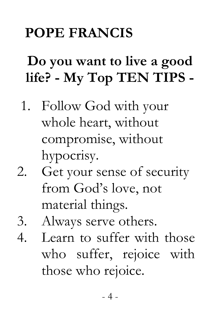## **POPE FRANCIS**

## **Do you want to live a good life? - My Top TEN TIPS -**

- 1. Follow God with your whole heart, without compromise, without hypocrisy.
- 2. Get your sense of security from God's love, not material things.
- 3. Always serve others.
- 4. Learn to suffer with those who suffer, rejoice with those who rejoice.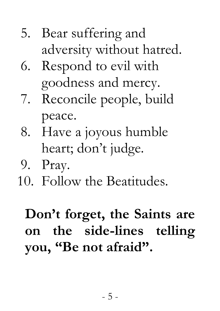#### 5. Bear suffering and adversity without hatred.

- 6. Respond to evil with goodness and mercy.
- 7. Reconcile people, build peace.
- 8. Have a joyous humble heart; don't judge.
- 9. Pray.
- 10. Follow the Beatitudes.

## **Don't forget, the Saints are on the side-lines telling you, "Be not afraid".**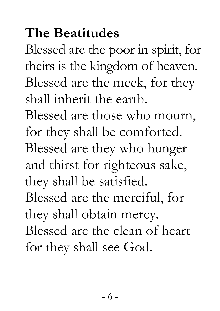# **The Beatitudes**

Blessed are the poor in spirit, for theirs is the kingdom of heaven. Blessed are the meek, for they shall inherit the earth.

Blessed are those who mourn, for they shall be comforted. Blessed are they who hunger and thirst for righteous sake, they shall be satisfied. Blessed are the merciful, for they shall obtain mercy. Blessed are the clean of heart

for they shall see God.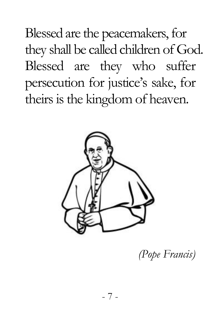Blessed are the peacemakers, for they shall be called children of God. Blessed are they who suffer persecution for justice's sake, for theirs is the kingdom of heaven.



*(Pope Francis)*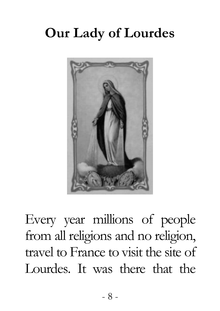# **Our Lady of Lourdes**



Every year millions of people from all religions and no religion, travel to France to visit the site of Lourdes. It was there that the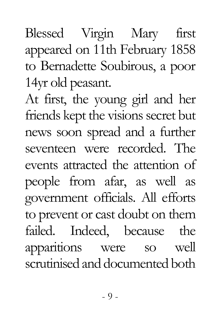Blessed Virgin Mary first appeared on 11th February 1858 to Bernadette Soubirous, a poor 14yr old peasant.

At first, the young girl and her friends kept the visions secret but news soon spread and a further seventeen were recorded. The events attracted the attention of people from afar, as well as government officials. All efforts to prevent or cast doubt on them failed. Indeed, because the apparitions were so well scrutinised and documented both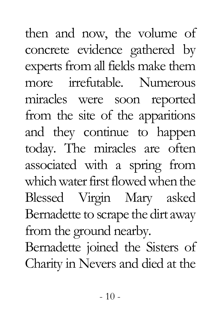then and now, the volume of concrete evidence gathered by experts from all fields make them more irrefutable. Numerous miracles were soon reported from the site of the apparitions and they continue to happen today. The miracles are often associated with a spring from which water first flowed when the Blessed Virgin Mary asked Bernadette to scrape the dirt away from the ground nearby. Bernadette joined the Sisters of Charity in Nevers and died at the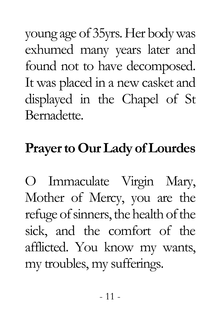young age of 35yrs. Her body was exhumed many years later and found not to have decomposed. It was placed in a new casket and displayed in the Chapel of St Bernadette.

#### **Prayer to Our Lady of Lourdes**

O Immaculate Virgin Mary, Mother of Mercy, you are the refuge of sinners, the health of the sick, and the comfort of the afflicted. You know my wants, my troubles, my sufferings.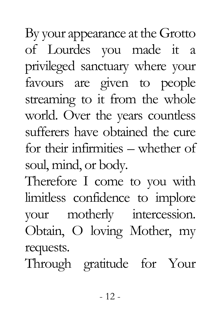By your appearance at the Grotto of Lourdes you made it a privileged sanctuary where your favours are given to people streaming to it from the whole world. Over the years countless sufferers have obtained the cure for their infirmities – whether of soul, mind, or body.

Therefore I come to you with limitless confidence to implore your motherly intercession. Obtain, O loving Mother, my requests.

Through gratitude for Your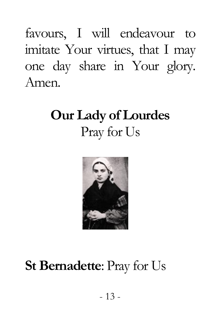favours, I will endeavour to imitate Your virtues, that I may one day share in Your glory. Amen.

# **Our Lady of Lourdes** Pray for Us



### **St Bernadette**: Pray for Us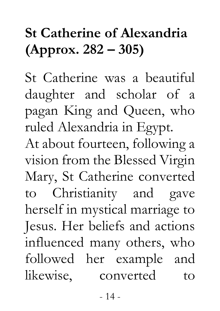# **St Catherine of Alexandria (Approx. 282 – 305)**

St Catherine was a beautiful daughter and scholar of a pagan King and Queen, who ruled Alexandria in Egypt. At about fourteen, following a vision from the Blessed Virgin Mary, St Catherine converted to Christianity and gave herself in mystical marriage to Jesus. Her beliefs and actions influenced many others, who followed her example and likewise, converted to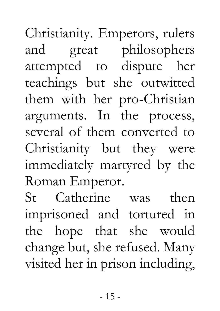Christianity. Emperors, rulers and great philosophers attempted to dispute her teachings but she outwitted them with her pro-Christian arguments. In the process, several of them converted to Christianity but they were immediately martyred by the Roman Emperor.

St Catherine was then imprisoned and tortured in the hope that she would change but, she refused. Many visited her in prison including,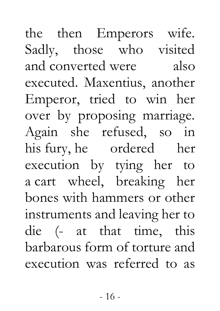the then Emperors wife. Sadly, those who visited and converted were also executed. Maxentius, another Emperor, tried to win her over by proposing marriage. Again she refused, so in his fury, he ordered her execution by tying her to a cart wheel, breaking her bones with hammers or other instruments and leaving her to die (- at that time, this barbarous form of torture and execution was referred to as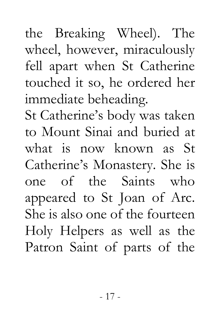fell apart when St Catherine touched it so, he ordered her immediate beheading. St Catherine's body was taken to Mount Sinai and buried at what is now known as St Catherine's Monastery. She is one of the Saints who appeared to St Joan of Arc. She is also one of the fourteen Holy Helpers as well as the Patron Saint of parts of the

the Breaking Wheel). The wheel, however, miraculously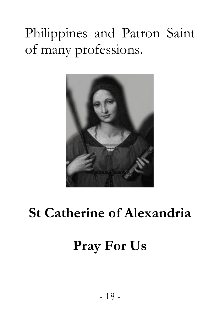# Philippines and Patron Saint of many professions.



# **St Catherine of Alexandria**

#### **Pray For Us**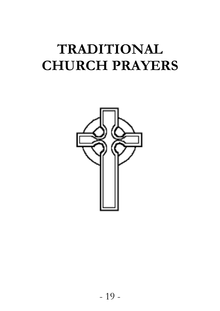# **TRADITIONAL CHURCH PRAYERS**

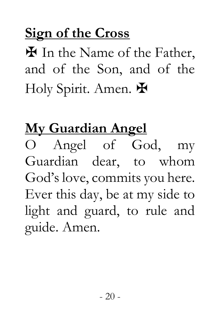# **Sign of the Cross**

✠ In the Name of the Father, and of the Son, and of the Holy Spirit. Amen.  $\mathbf{\mathbf{\mathbf{\mathsf{F}}}}$ 

# **My Guardian Angel**

O Angel of God, my Guardian dear, to whom God's love, commits you here. Ever this day, be at my side to light and guard, to rule and guide. Amen.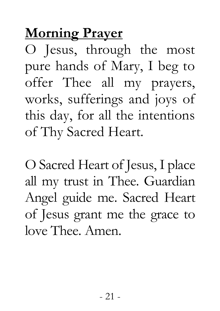# **Morning Prayer**

O Jesus, through the most pure hands of Mary, I beg to offer Thee all my prayers, works, sufferings and joys of this day, for all the intentions of Thy Sacred Heart.

O Sacred Heart of Jesus, I place all my trust in Thee. Guardian Angel guide me. Sacred Heart of Jesus grant me the grace to love Thee. Amen.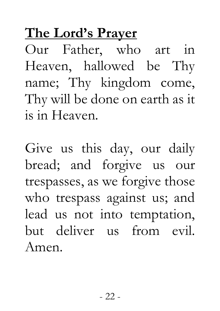# **The Lord's Prayer**

Our Father, who art in Heaven, hallowed be Thy name; Thy kingdom come, Thy will be done on earth as it is in Heaven.

Give us this day, our daily bread; and forgive us our trespasses, as we forgive those who trespass against us; and lead us not into temptation, but deliver us from evil. Amen.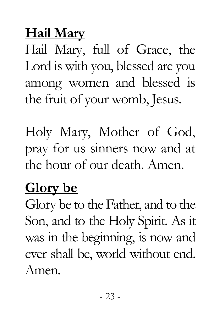# **Hail Mary**

Hail Mary, full of Grace, the Lord is with you, blessed are you among women and blessed is the fruit of your womb, Jesus.

Holy Mary, Mother of God, pray for us sinners now and at the hour of our death. Amen.

#### **Glory be**

Glory be to the Father, and to the Son, and to the Holy Spirit. As it was in the beginning, is now and ever shall be, world without end. Amen.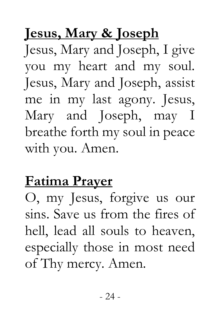# **Jesus, Mary & Joseph**

Jesus, Mary and Joseph, I give you my heart and my soul. Jesus, Mary and Joseph, assist me in my last agony. Jesus, Mary and Joseph, may I breathe forth my soul in peace with you. Amen.

# **Fatima Prayer**

O, my Jesus, forgive us our sins. Save us from the fires of hell, lead all souls to heaven, especially those in most need of Thy mercy. Amen.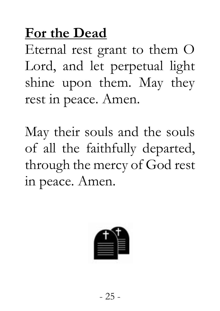## **For the Dead**

Eternal rest grant to them O Lord, and let perpetual light shine upon them. May they rest in peace. Amen.

May their souls and the souls of all the faithfully departed, through the mercy of God rest in peace. Amen.

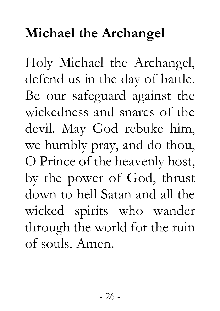## **Michael the Archangel**

Holy Michael the Archangel, defend us in the day of battle. Be our safeguard against the wickedness and snares of the devil. May God rebuke him, we humbly pray, and do thou, O Prince of the heavenly host, by the power of God, thrust down to hell Satan and all the wicked spirits who wander through the world for the ruin of souls. Amen.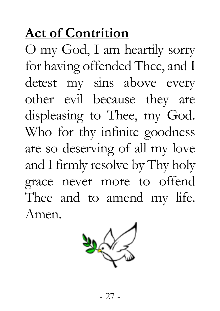# **Act of Contrition**

O my God, I am heartily sorry for having offended Thee, and I detest my sins above every other evil because they are displeasing to Thee, my God. Who for thy infinite goodness are so deserving of all my love and I firmly resolve by Thy holy grace never more to offend Thee and to amend my life. Amen.

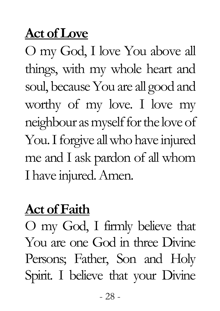#### **Act of Love**

O my God, I love You above all things, with my whole heart and soul, because You are all good and worthy of my love. I love my neighbour as myself for the love of You. I forgive all who have injured me and I ask pardon of all whom I have injured. Amen.

#### **Act of Faith**

O my God, I firmly believe that You are one God in three Divine Persons; Father, Son and Holy Spirit. I believe that your Divine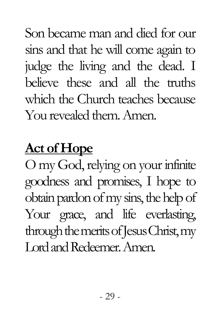Son became man and died for our sins and that he will come again to judge the living and the dead. I believe these and all the truths which the Church teaches because You revealed them. Amen.

#### **Act of Hope**

O my God, relying on your infinite goodness and promises, I hope to obtain pardon of my sins, the help of Your grace, and life everlasting, through the merits of Jesus Christ, my Lord and Redeemer. Amen.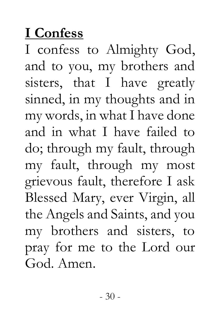## **I Confess**

I confess to Almighty God, and to you, my brothers and sisters, that I have greatly sinned, in my thoughts and in my words, in what I have done and in what I have failed to do; through my fault, through my fault, through my most grievous fault, therefore I ask Blessed Mary, ever Virgin, all the Angels and Saints, and you my brothers and sisters, to pray for me to the Lord our God. Amen.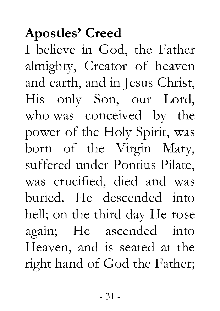# **Apostles' Creed**

I believe in God, the Father almighty, Creator of heaven and earth, and in Jesus Christ, His only Son, our Lord, who was conceived by the power of the Holy Spirit, was born of the Virgin Mary, suffered under Pontius Pilate, was crucified, died and was buried. He descended into hell; on the third day He rose again; He ascended into Heaven, and is seated at the right hand of God the Father;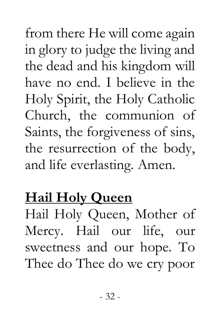from there He will come again in glory to judge the living and the dead and his kingdom will have no end. I believe in the Holy Spirit, the Holy Catholic Church, the communion of Saints, the forgiveness of sins, the resurrection of the body, and life everlasting. Amen.

# **Hail Holy Queen**

Hail Holy Queen, Mother of Mercy. Hail our life, our sweetness and our hope. To Thee do Thee do we cry poor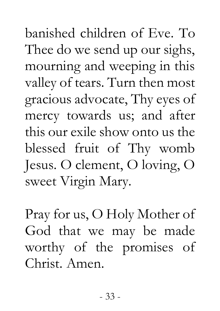banished children of Eve. To Thee do we send up our sighs, mourning and weeping in this valley of tears. Turn then most gracious advocate, Thy eyes of mercy towards us; and after this our exile show onto us the blessed fruit of Thy womb Jesus. O clement, O loving, O sweet Virgin Mary.

Pray for us, O Holy Mother of God that we may be made worthy of the promises of Christ. Amen.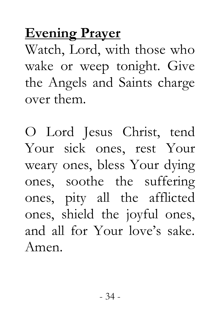#### **Evening Prayer**

Watch, Lord, with those who wake or weep tonight. Give the Angels and Saints charge over them.

O Lord Jesus Christ, tend Your sick ones, rest Your weary ones, bless Your dying ones, soothe the suffering ones, pity all the afflicted ones, shield the joyful ones, and all for Your love's sake. Amen.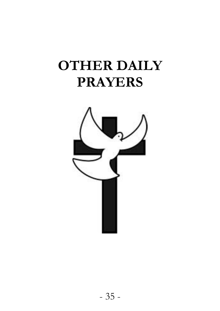### **OTHER DAILY PRAYERS**

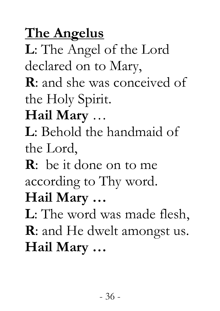## **The Angelus**

**L**: The Angel of the Lord declared on to Mary,

**R**: and she was conceived of the Holy Spirit.

#### **Hail Mary** …

**L**: Behold the handmaid of the Lord,

**R**: be it done on to me according to Thy word. **Hail Mary …**

**L**: The word was made flesh, **R**: and He dwelt amongst us.

**Hail Mary …**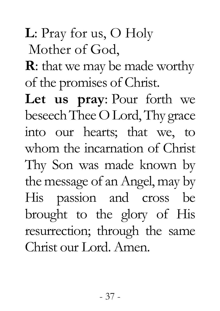**L**: Pray for us, O Holy

Mother of God,

**R**: that we may be made worthy of the promises of Christ.

**Let us pray**: Pour forth we beseech Thee O Lord, Thy grace into our hearts; that we, to whom the incarnation of Christ Thy Son was made known by the message of an Angel, may by His passion and cross be brought to the glory of His resurrection; through the same Christ our Lord. Amen.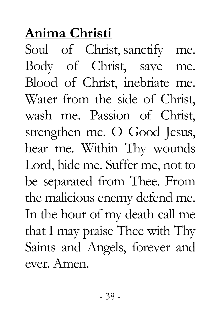### **Anima Christi**

Soul of Christ, sanctify me. Body of Christ, save me. Blood of Christ, inebriate me. Water from the side of Christ, wash me. Passion of Christ, strengthen me. O Good Jesus, hear me. Within Thy wounds Lord, hide me. Suffer me, not to be separated from Thee. From the malicious enemy defend me. In the hour of my death call me that I may praise Thee with Thy Saints and Angels, forever and ever. Amen.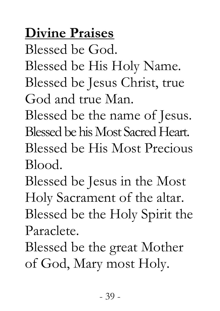### **Divine Praises**

Blessed be God.

Blessed be His Holy Name.

Blessed be Jesus Christ, true God and true Man.

Blessed be the name of Jesus. Blessed be his Most Sacred Heart. Blessed be His Most Precious Blood.

Blessed be Jesus in the Most Holy Sacrament of the altar. Blessed be the Holy Spirit the Paraclete.

Blessed be the great Mother

of God, Mary most Holy.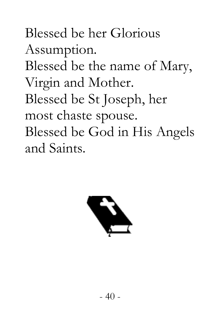Blessed be her Glorious Assumption. Blessed be the name of Mary, Virgin and Mother. Blessed be St Joseph, her most chaste spouse. Blessed be God in His Angels and Saints.

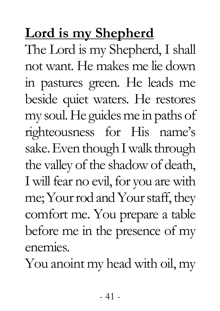## **Lord is my Shepherd**

The Lord is my Shepherd, I shall not want. He makes me lie down in pastures green. He leads me beside quiet waters. He restores my soul. He guides me in paths of righteousness for His name's sake. Even though I walk through the valley of the shadow of death, I will fear no evil, for you are with me; Your rod and Your staff, they comfort me. You prepare a table before me in the presence of my enemies.

You anoint my head with oil, my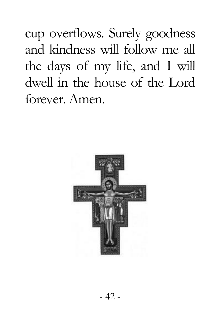cup overflows. Surely goodness and kindness will follow me all the days of my life, and I will dwell in the house of the Lord forever. Amen.

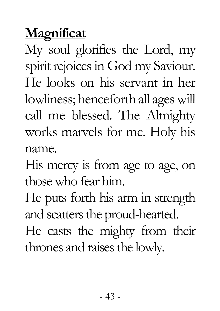#### **Magnificat**

My soul glorifies the Lord, my spirit rejoices in God my Saviour. He looks on his servant in her lowliness; henceforth all ages will call me blessed. The Almighty works marvels for me. Holy his name.

His mercy is from age to age, on those who fear him.

He puts forth his arm in strength and scatters the proud-hearted.

He casts the mighty from their thrones and raises the lowly.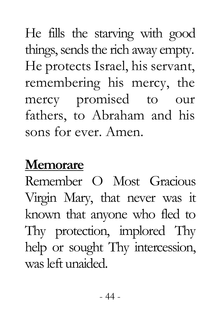He fills the starving with good things, sends the rich away empty. He protects Israel, his servant, remembering his mercy, the mercy promised to our fathers, to Abraham and his sons for ever. Amen.

#### **Memorare**

Remember O Most Gracious Virgin Mary, that never was it known that anyone who fled to Thy protection, implored Thy help or sought Thy intercession, was left unaided.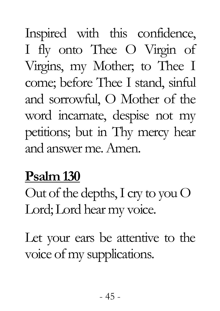Inspired with this confidence, I fly onto Thee O Virgin of Virgins, my Mother; to Thee I come; before Thee I stand, sinful and sorrowful, O Mother of the word incarnate, despise not my petitions; but in Thy mercy hear and answer me. Amen.

#### **Psalm 130**

Out of the depths, I cry to you O Lord; Lord hear my voice.

Let your ears be attentive to the voice of my supplications.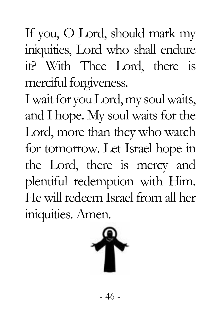If you, O Lord, should mark my iniquities, Lord who shall endure it? With Thee Lord, there is merciful forgiveness.

I wait for you Lord, my soul waits, and I hope. My soul waits for the Lord, more than they who watch for tomorrow. Let Israel hope in the Lord, there is mercy and plentiful redemption with Him. He will redeem Israel from all her iniquities. Amen.

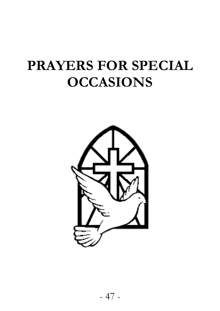### **PRAYERS FOR SPECIAL OCCASIONS**

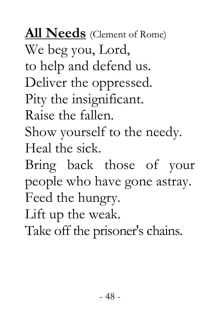**All Needs** (Clement of Rome) We beg you, Lord, to help and defend us. Deliver the oppressed. Pity the insignificant. Raise the fallen. Show yourself to the needy. Heal the sick.

Bring back those of your people who have gone astray. Feed the hungry.

Lift up the weak.

Take off the prisoner's chains.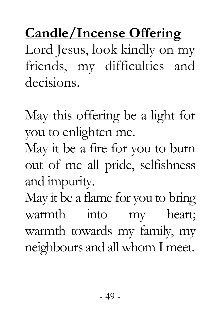**Candle/Incense Offering**  Lord Jesus, look kindly on my friends, my difficulties and decisions.

May this offering be a light for you to enlighten me. May it be a fire for you to burn out of me all pride, selfishness

and impurity.

May it be a flame for you to bring warmth into my heart; warmth towards my family, my neighbours and all whom I meet.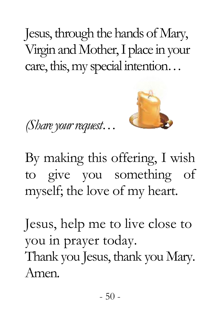Jesus, through the hands of Mary, Virgin and Mother, I place in your care, this, my special intention…





By making this offering, I wish to give you something of myself; the love of my heart.

Jesus, help me to live close to you in prayer today. Thank you Jesus, thank you Mary. Amen.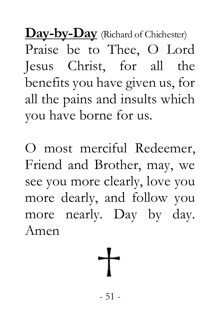**Day-by-Day** (Richard of Chichester) Praise be to Thee, O Lord Jesus Christ, for all the benefits you have given us, for all the pains and insults which you have borne for us.

O most merciful Redeemer, Friend and Brother, may, we see you more clearly, love you more dearly, and follow you more nearly. Day by day. Amen

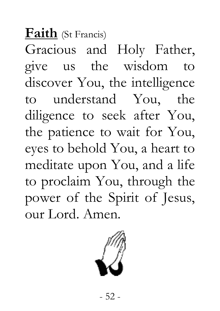**Faith** (St Francis) Gracious and Holy Father, give us the wisdom to discover You, the intelligence to understand You, the diligence to seek after You, the patience to wait for You, eyes to behold You, a heart to meditate upon You, and a life to proclaim You, through the power of the Spirit of Jesus, our Lord. Amen.

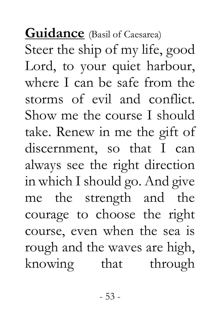## **Guidance** (Basil of Caesarea) Steer the ship of my life, good Lord, to your quiet harbour, where I can be safe from the storms of evil and conflict. Show me the course I should take. Renew in me the gift of discernment, so that I can always see the right direction in which I should go. And give me the strength and the courage to choose the right course, even when the sea is rough and the waves are high, knowing that through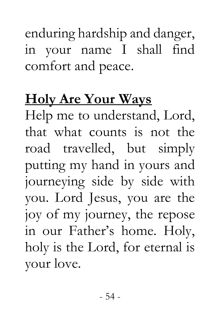enduring hardship and danger, in your name I shall find comfort and peace.

#### **Holy Are Your Ways**

Help me to understand, Lord, that what counts is not the road travelled, but simply putting my hand in yours and journeying side by side with you. Lord Jesus, you are the joy of my journey, the repose in our Father's home. Holy, holy is the Lord, for eternal is your love.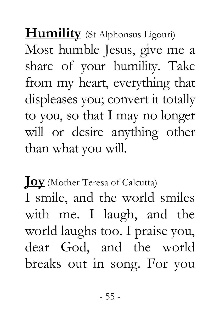**Humility** (St Alphonsus Ligouri) Most humble Jesus, give me a share of your humility. Take from my heart, everything that displeases you; convert it totally to you, so that I may no longer will or desire anything other than what you will.

**Joy** (Mother Teresa of Calcutta) I smile, and the world smiles with me. I laugh, and the world laughs too. I praise you, dear God, and the world breaks out in song. For you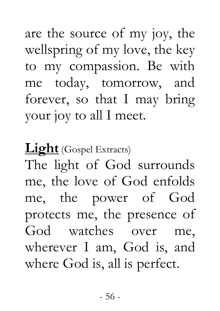are the source of my joy, the wellspring of my love, the key to my compassion. Be with me today, tomorrow, and forever, so that I may bring your joy to all I meet.

**Light** (Gospel Extracts)

The light of God surrounds me, the love of God enfolds me, the power of God protects me, the presence of God watches over me, wherever I am, God is, and where God is, all is perfect.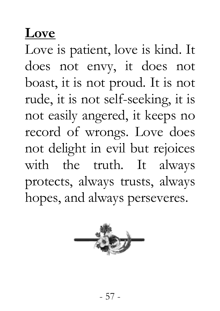#### **Love**

Love is patient, love is kind. It does not envy, it does not boast, it is not proud. It is not rude, it is not self-seeking, it is not easily angered, it keeps no record of wrongs. Love does not delight in evil but rejoices with the truth. It always protects, always trusts, always hopes, and always perseveres.

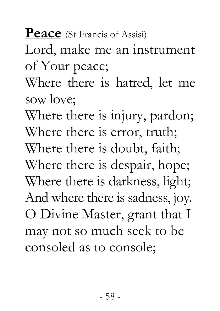**Peace** (St Francis of Assisi)

Lord, make me an instrument of Your peace;

Where there is hatred, let me sow love;

Where there is injury, pardon; Where there is error, truth; Where there is doubt, faith; Where there is despair, hope; Where there is darkness, light; And where there is sadness, joy. O Divine Master, grant that I may not so much seek to be consoled as to console;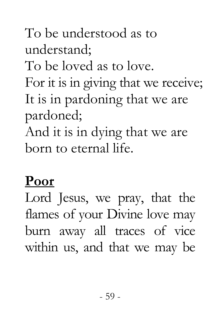## To be understood as to understand; To be loved as to love. For it is in giving that we receive; It is in pardoning that we are pardoned; And it is in dying that we are born to eternal life.

#### **Poor**

Lord Jesus, we pray, that the flames of your Divine love may burn away all traces of vice within us, and that we may be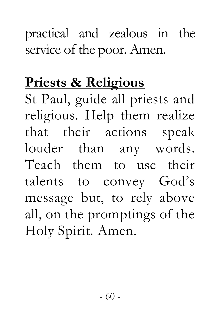#### practical and zealous in the service of the poor. Amen.

#### **Priests & Religious**

St Paul, guide all priests and religious. Help them realize that their actions speak louder than any words. Teach them to use their talents to convey God's message but, to rely above all, on the promptings of the Holy Spirit. Amen.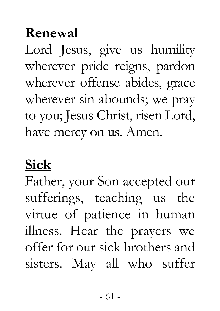#### **Renewal**

Lord Jesus, give us humility wherever pride reigns, pardon wherever offense abides, grace wherever sin abounds; we pray to you; Jesus Christ, risen Lord, have mercy on us. Amen.

#### **Sick**

Father, your Son accepted our sufferings, teaching us the virtue of patience in human illness. Hear the prayers we offer for our sick brothers and sisters. May all who suffer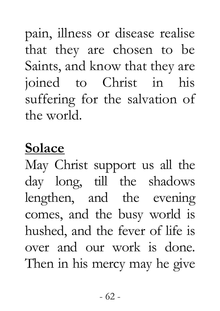pain, illness or disease realise that they are chosen to be Saints, and know that they are joined to Christ in his suffering for the salvation of the world.

## **Solace**

May Christ support us all the day long, till the shadows lengthen, and the evening comes, and the busy world is hushed, and the fever of life is over and our work is done. Then in his mercy may he give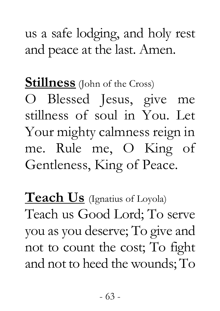us a safe lodging, and holy rest and peace at the last. Amen.

**Stillness** (John of the Cross)

O Blessed Jesus, give me stillness of soul in You. Let Your mighty calmness reign in me. Rule me, O King of Gentleness, King of Peace.

**Teach Us** (Ignatius of Loyola) Teach us Good Lord; To serve you as you deserve; To give and not to count the cost; To fight and not to heed the wounds; To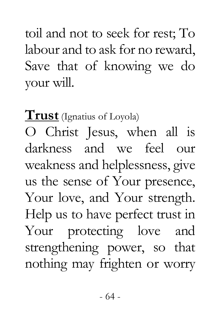toil and not to seek for rest; To labour and to ask for no reward, Save that of knowing we do your will.

**Trust** (Ignatius of Loyola) O Christ Jesus, when all is darkness and we feel our weakness and helplessness, give us the sense of Your presence, Your love, and Your strength. Help us to have perfect trust in Your protecting love and strengthening power, so that nothing may frighten or worry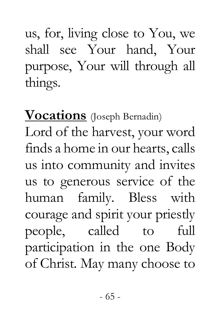us, for, living close to You, we shall see Your hand, Your purpose, Your will through all things.

**Vocations** (Joseph Bernadin) Lord of the harvest, your word finds a home in our hearts, calls us into community and invites us to generous service of the human family. Bless with courage and spirit your priestly people, called to full participation in the one Body of Christ. May many choose to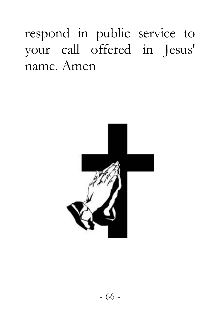respond in public service to your call offered in Jesus' name. Amen

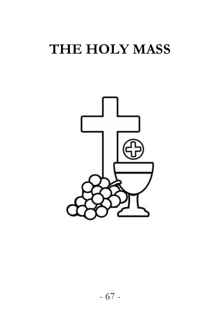## **THE HOLY MASS**

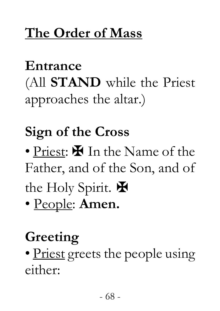### **The Order of Mass**

# **Entrance**

(All **STAND** while the Priest approaches the altar.)

# **Sign of the Cross**

• Priest:  $\blacksquare$  In the Name of the Father, and of the Son, and of the Holy Spirit.  $\blacksquare$ 

• People: **Amen.** 

## **Greeting**

• Priest greets the people using either: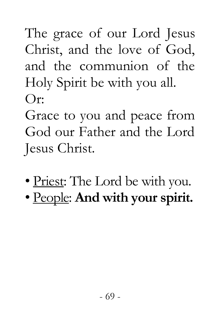The grace of our Lord Jesus Christ, and the love of God, and the communion of the Holy Spirit be with you all.  $O_{r}$ 

Grace to you and peace from God our Father and the Lord Jesus Christ.

- Priest: The Lord be with you.
- People: **And with your spirit.**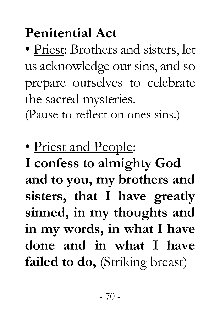# **Penitential Act**

• Priest: Brothers and sisters, let us acknowledge our sins, and so prepare ourselves to celebrate the sacred mysteries.

(Pause to reflect on ones sins.)

• Priest and People:

**I confess to almighty God and to you, my brothers and sisters, that I have greatly sinned, in my thoughts and in my words, in what I have done and in what I have failed to do,** (Striking breast)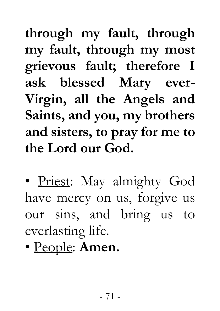**through my fault, through my fault, through my most grievous fault; therefore I ask blessed Mary ever-Virgin, all the Angels and Saints, and you, my brothers and sisters, to pray for me to the Lord our God.** 

• Priest: May almighty God have mercy on us, forgive us our sins, and bring us to everlasting life.

• People: **Amen.**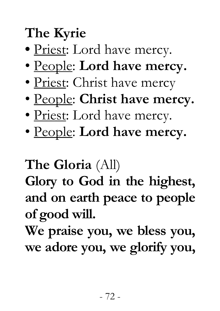# **The Kyrie**

- Priest: Lord have mercy.
- People: **Lord have mercy.**
- Priest: Christ have mercy
- People: **Christ have mercy.**
- Priest: Lord have mercy.
- People: **Lord have mercy.**

#### **The Gloria** (All)

**Glory to God in the highest, and on earth peace to people of good will.** 

**We praise you, we bless you, we adore you, we glorify you,**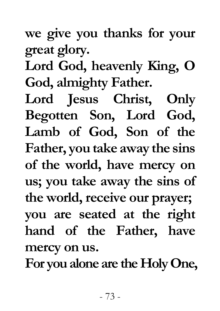**we give you thanks for your great glory.** 

**Lord God, heavenly King, O God, almighty Father.** 

**Lord Jesus Christ, Only Begotten Son, Lord God, Lamb of God, Son of the Father, you take away the sins of the world, have mercy on us; you take away the sins of the world, receive our prayer; you are seated at the right hand of the Father, have mercy on us.** 

**For you alone are the Holy One,**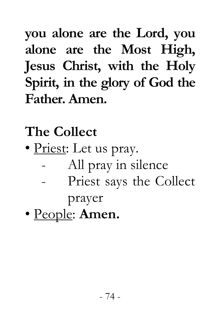**you alone are the Lord, you alone are the Most High, Jesus Christ, with the Holy Spirit, in the glory of God the Father. Amen.** 

**The Collect** 

- Priest: Let us pray.
	- All pray in silence
	- Priest says the Collect

prayer

• People: **Amen.**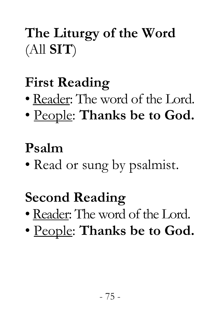# **The Liturgy of the Word** (All **SIT**)

# **First Reading**

- Reader: The word of the Lord.
- People: **Thanks be to God.**

#### **Psalm**

• Read or sung by psalmist.

### **Second Reading**

- Reader: The word of the Lord.
- People: **Thanks be to God.**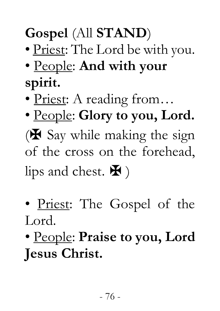# **Gospel** (All **STAND**)

- Priest: The Lord be with you.
- People: **And with your spirit.**
- Priest: A reading from...
- People: **Glory to you, Lord.**  $(\mathbf{\mathbf{\mathbf{\Psi}}})$  Say while making the sign of the cross on the forehead, lips and chest.  $\mathbf{\Psi}$ )
- Priest: The Gospel of the Lord.
- People: **Praise to you, Lord Jesus Christ.**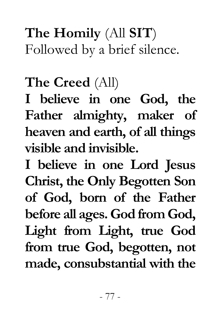**The Homily** (All **SIT**) Followed by a brief silence.

#### **The Creed** (All)

**I believe in one God, the Father almighty, maker of heaven and earth, of all things visible and invisible.** 

**I believe in one Lord Jesus Christ, the Only Begotten Son of God, born of the Father before all ages. God from God, Light from Light, true God from true God, begotten, not made, consubstantial with the**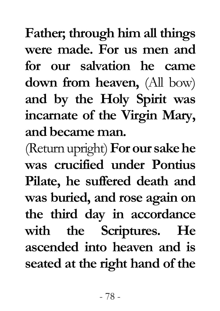**Father; through him all things were made. For us men and for our salvation he came down from heaven,** (All bow) **and by the Holy Spirit was incarnate of the Virgin Mary, and became man.** 

(Return upright) **For our sake he was crucified under Pontius Pilate, he suffered death and was buried, and rose again on the third day in accordance with the Scriptures. He ascended into heaven and is seated at the right hand of the**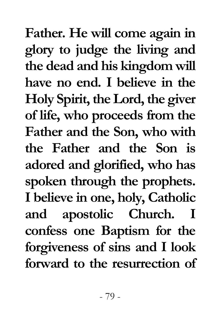**Father. He will come again in glory to judge the living and the dead and his kingdom will have no end. I believe in the Holy Spirit, the Lord, the giver of life, who proceeds from the Father and the Son, who with the Father and the Son is adored and glorified, who has spoken through the prophets. I believe in one, holy, Catholic and apostolic Church. I confess one Baptism for the forgiveness of sins and I look forward to the resurrection of**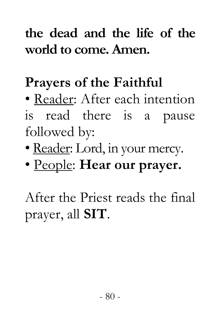### **the dead and the life of the world to come. Amen.**

#### **Prayers of the Faithful**

• Reader: After each intention is read there is a pause followed by:

- Reader: Lord, in your mercy.
- People: **Hear our prayer.**

After the Priest reads the final prayer, all **SIT**.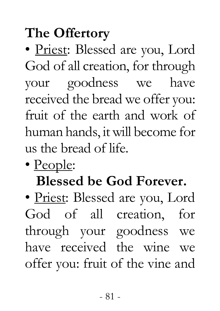# **The Offertory**

• Priest: Blessed are you, Lord God of all creation, for through your goodness we have received the bread we offer you: fruit of the earth and work of human hands, it will become for us the bread of life.

• People:

# **Blessed be God Forever.**

• Priest: Blessed are you, Lord God of all creation, for through your goodness we have received the wine we offer you: fruit of the vine and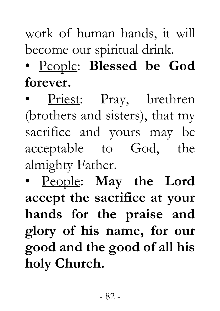### work of human hands, it will become our spiritual drink.

### • People: **Blessed be God forever.**

Priest: Pray, brethren (brothers and sisters), that my sacrifice and yours may be acceptable to God, the almighty Father.

• People: **May the Lord accept the sacrifice at your hands for the praise and glory of his name, for our good and the good of all his holy Church.**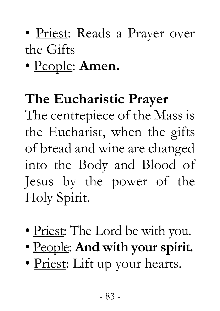### • Priest: Reads a Prayer over the Gifts

### • People: **Amen.**

#### **The Eucharistic Prayer**

The centrepiece of the Mass is the Eucharist, when the gifts of bread and wine are changed into the Body and Blood of Jesus by the power of the Holy Spirit.

- Priest: The Lord be with you.
- People: **And with your spirit.**
- Priest: Lift up your hearts.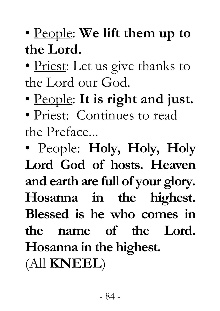### • People: **We lift them up to the Lord.**

• Priest: Let us give thanks to the Lord our God.

• People: **It is right and just.** 

• Priest: Continues to read the Preface...

• People: **Holy, Holy, Holy Lord God of hosts. Heaven and earth are full of your glory. Hosanna in the highest. Blessed is he who comes in the name of the Lord. Hosanna in the highest.** 

(All **KNEEL**)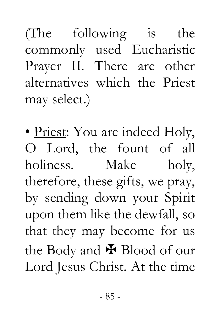(The following is the commonly used Eucharistic Prayer II. There are other alternatives which the Priest may select.)

• Priest: You are indeed Holy, O Lord, the fount of all holiness. Make holy, therefore, these gifts, we pray, by sending down your Spirit upon them like the dewfall, so that they may become for us the Body and  $\mathbf{\mathbf{\mathbf{\mathsf{F}}}$  Blood of our Lord Jesus Christ. At the time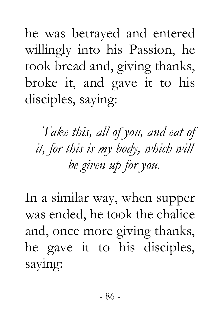he was betrayed and entered willingly into his Passion, he took bread and, giving thanks, broke it, and gave it to his disciples, saying:

*Take this, all of you, and eat of it, for this is my body, which will be given up for you.* 

In a similar way, when supper was ended, he took the chalice and, once more giving thanks, he gave it to his disciples, saying: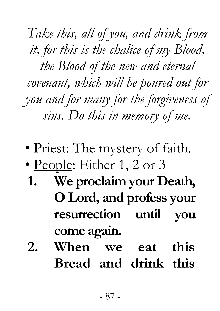*Take this, all of you, and drink from it, for this is the chalice of my Blood, the Blood of the new and eternal covenant, which will be poured out for you and for many for the forgiveness of sins. Do this in memory of me.* 

- Priest: The mystery of faith.
- People: Either 1, 2 or 3
- **1. We proclaim your Death, O Lord, and profess your resurrection until you come again.**
- **2. When we eat this Bread and drink this**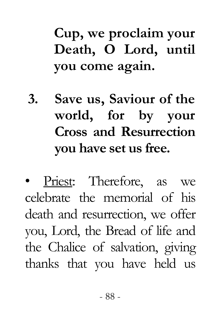# **Cup, we proclaim your Death, O Lord, until you come again.**

- **3. Save us, Saviour of the world, for by your Cross and Resurrection you have set us free.**
- Priest: Therefore, as we celebrate the memorial of his death and resurrection, we offer you, Lord, the Bread of life and the Chalice of salvation, giving thanks that you have held us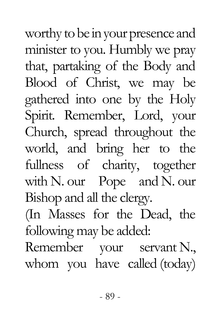worthy to be in your presence and minister to you. Humbly we pray that, partaking of the Body and Blood of Christ, we may be gathered into one by the Holy Spirit. Remember, Lord, your Church, spread throughout the world, and bring her to the fullness of charity, together with N. our Pope and N. our Bishop and all the clergy. (In Masses for the Dead, the following may be added: Remember your servant N., whom you have called (today)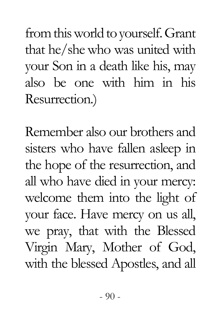from this world to yourself. Grant that he/she who was united with your Son in a death like his, may also be one with him in his Resurrection.)

Remember also our brothers and sisters who have fallen asleep in the hope of the resurrection, and all who have died in your mercy: welcome them into the light of your face. Have mercy on us all, we pray, that with the Blessed Virgin Mary, Mother of God, with the blessed Apostles, and all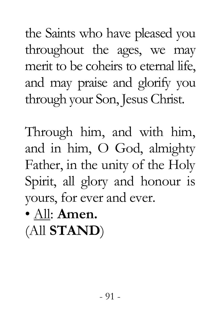the Saints who have pleased you throughout the ages, we may merit to be coheirs to eternal life, and may praise and glorify you through your Son, Jesus Christ.

Through him, and with him, and in him, O God, almighty Father, in the unity of the Holy Spirit, all glory and honour is yours, for ever and ever.

• All: **Amen.**

(All **STAND**)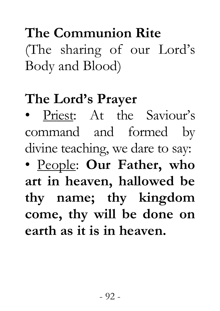# **The Communion Rite**  (The sharing of our Lord's Body and Blood)

#### **The Lord's Prayer**

• Priest: At the Saviour's command and formed by divine teaching, we dare to say: • People: **Our Father, who art in heaven, hallowed be thy name; thy kingdom come, thy will be done on earth as it is in heaven.**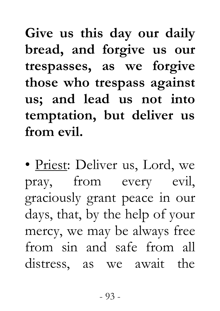**Give us this day our daily bread, and forgive us our trespasses, as we forgive those who trespass against us; and lead us not into temptation, but deliver us from evil.** 

• Priest: Deliver us, Lord, we pray, from every evil, graciously grant peace in our days, that, by the help of your mercy, we may be always free from sin and safe from all distress, as we await the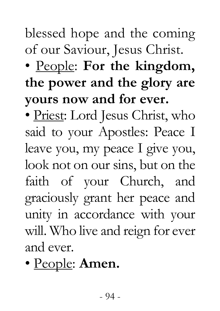#### blessed hope and the coming of our Saviour, Jesus Christ.

# • People: **For the kingdom, the power and the glory are yours now and for ever.**

• Priest: Lord Jesus Christ, who said to your Apostles: Peace I leave you, my peace I give you, look not on our sins, but on the faith of your Church, and graciously grant her peace and unity in accordance with your will. Who live and reign for ever and ever.

# • People: **Amen.**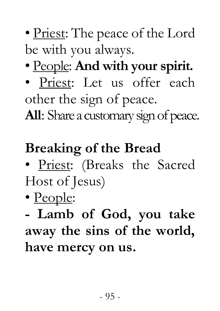- Priest: The peace of the Lord be with you always.
- People: **And with your spirit.**
- Priest: Let us offer each other the sign of peace.

**All**: Share a customary sign of peace.

# **Breaking of the Bread**

- Priest: (Breaks the Sacred Host of Jesus)
- People:

**- Lamb of God, you take away the sins of the world, have mercy on us.**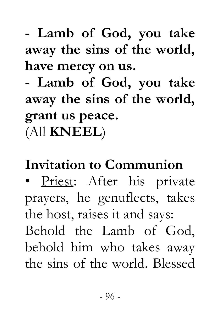# **- Lamb of God, you take away the sins of the world, have mercy on us.**

**- Lamb of God, you take away the sins of the world, grant us peace.**  (All **KNEEL**)

### **Invitation to Communion**

• Priest: After his private prayers, he genuflects, takes the host, raises it and says: Behold the Lamb of God, behold him who takes away the sins of the world. Blessed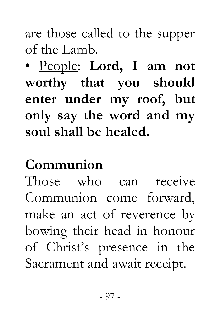are those called to the supper of the Lamb.

• People: **Lord, I am not worthy that you should enter under my roof, but only say the word and my soul shall be healed.** 

#### **Communion**

Those who can receive Communion come forward, make an act of reverence by bowing their head in honour of Christ's presence in the Sacrament and await receipt.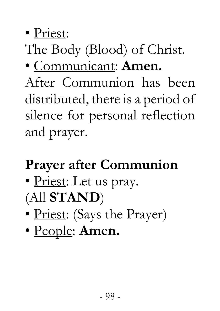• Priest:

# The Body (Blood) of Christ.

### • Communicant: **Amen.**

After Communion has been distributed, there is a period of silence for personal reflection and prayer.

# **Prayer after Communion**

- Priest: Let us pray. (All **STAND**)
- Priest: (Says the Prayer)
- People: **Amen.**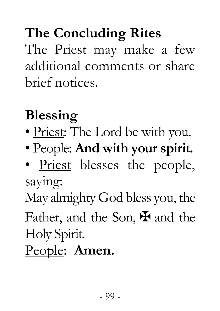# **The Concluding Rites**

The Priest may make a few additional comments or share brief notices.

# **Blessing**

- Priest: The Lord be with you.
- People: **And with your spirit.**
- Priest blesses the people, saying:

May almighty God bless you, the Father, and the Son,  $\mathbf{\Psi}$  and the Holy Spirit.

People: **Amen.**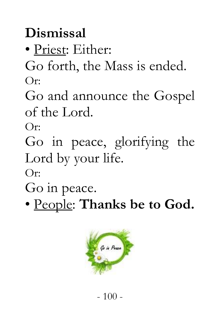# **Dismissal**

• Priest: Either:

Go forth, the Mass is ended. Or:

Go and announce the Gospel of the Lord.

Or:

Go in peace, glorifying the Lord by your life.

Or:

Go in peace.

• People: **Thanks be to God.** 

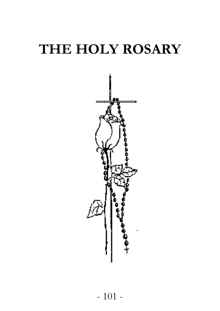# **THE HOLY ROSARY**

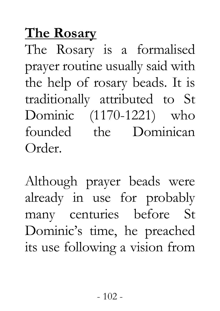#### **The Rosary**

The Rosary is a formalised prayer routine usually said with the help of rosary beads. It is traditionally attributed to St Dominic (1170-1221) who founded the Dominican Order.

Although prayer beads were already in use for probably many centuries before St Dominic's time, he preached its use following a vision from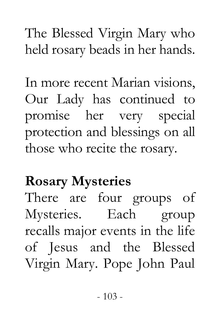The Blessed Virgin Mary who held rosary beads in her hands.

In more recent Marian visions, Our Lady has continued to promise her very special protection and blessings on all those who recite the rosary.

### **Rosary Mysteries**

There are four groups of Mysteries. Each group recalls major events in the life of Jesus and the Blessed Virgin Mary. Pope John Paul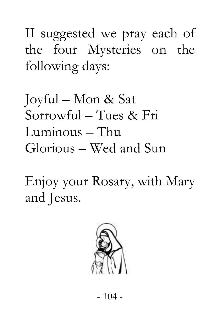II suggested we pray each of the four Mysteries on the following days:

Joyful – Mon & Sat Sorrowful – Tues & Fri Luminous – Thu Glorious – Wed and Sun

Enjoy your Rosary, with Mary and Jesus.

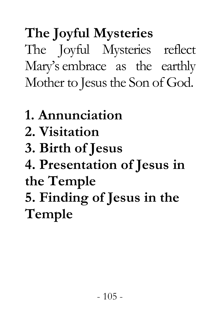**The Joyful Mysteries**  The Joyful Mysteries reflect Mary's embrace as the earthly Mother to Jesus the Son of God.

- **1. Annunciation**
- **2. Visitation**
- **3. Birth of Jesus**
- **4. Presentation of Jesus in the Temple**

**5. Finding of Jesus in the Temple**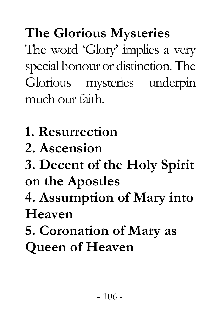**The Glorious Mysteries**  The word 'Glory' implies a very special honour or distinction. The Glorious mysteries underpin much our faith.

- **1. Resurrection**
- **2. Ascension**
- **3. Decent of the Holy Spirit on the Apostles**
- **4. Assumption of Mary into Heaven**
- **5. Coronation of Mary as Queen of Heaven**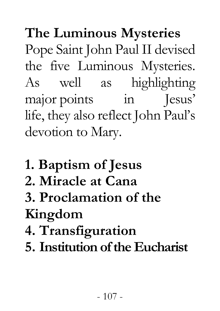**The Luminous Mysteries**  Pope Saint John Paul II devised the five Luminous Mysteries. As well as highlighting major points in Jesus' life, they also reflect John Paul's devotion to Mary.

- **1. Baptism of Jesus**
- **2. Miracle at Cana**

**3. Proclamation of the Kingdom** 

- **4. Transfiguration**
- **5. Institution of the Eucharist**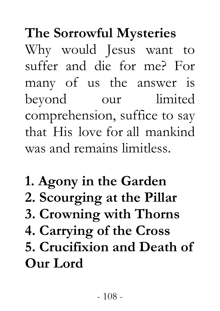**The Sorrowful Mysteries** 

Why would Jesus want to suffer and die for me? For many of us the answer is beyond our limited comprehension, suffice to say that His love for all mankind was and remains limitless.

**1. Agony in the Garden 2. Scourging at the Pillar 3. Crowning with Thorns 4. Carrying of the Cross 5. Crucifixion and Death of Our Lord**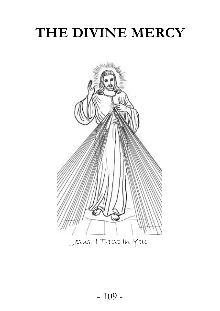## **THE DIVINE MERCY**

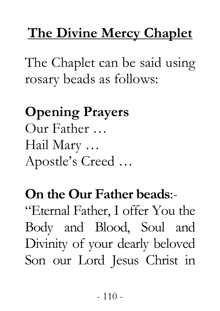## **The Divine Mercy Chaplet**

The Chaplet can be said using rosary beads as follows:

**Opening Prayers** Our Father … Hail Mary … Apostle's Creed …

## **On the Our Father beads**:-

"Eternal Father, I offer You the Body and Blood, Soul and Divinity of your dearly beloved Son our Lord Jesus Christ in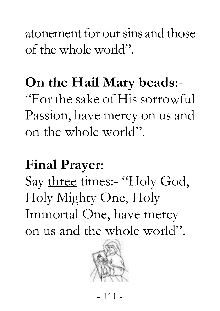atonement for our sins and those of the whole world".

#### **On the Hail Mary beads**:-

"For the sake of His sorrowful Passion, have mercy on us and on the whole world".

#### **Final Prayer**:-

Say three times:- "Holy God, Holy Mighty One, Holy Immortal One, have mercy on us and the whole world".

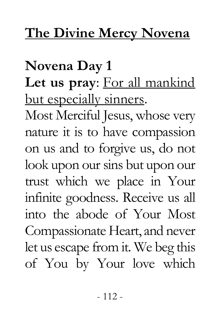#### **The Divine Mercy Novena**

**Novena Day 1 Let us pray**: For all mankind but especially sinners. Most Merciful Jesus, whose very nature it is to have compassion on us and to forgive us, do not look upon our sins but upon our trust which we place in Your infinite goodness. Receive us all into the abode of Your Most Compassionate Heart, and never let us escape from it. We beg this of You by Your love which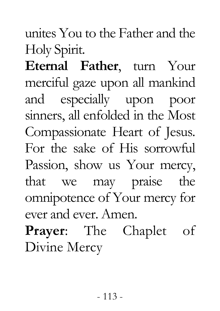unites You to the Father and the Holy Spirit.

**Eternal Father**, turn Your merciful gaze upon all mankind and especially upon poor sinners, all enfolded in the Most Compassionate Heart of Jesus. For the sake of His sorrowful Passion, show us Your mercy, that we may praise the omnipotence of Your mercy for ever and ever. Amen.

**Prayer**: The Chaplet of Divine Mercy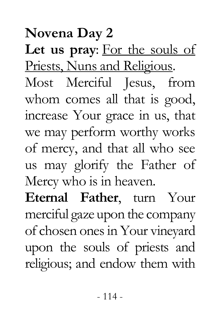#### **Novena Day 2**

**Let us pray**: For the souls of Priests, Nuns and Religious. Most Merciful Jesus, from whom comes all that is good, increase Your grace in us, that we may perform worthy works of mercy, and that all who see us may glorify the Father of Mercy who is in heaven.

**Eternal Father**, turn Your merciful gaze upon the company of chosen ones in Your vineyard upon the souls of priests and religious; and endow them with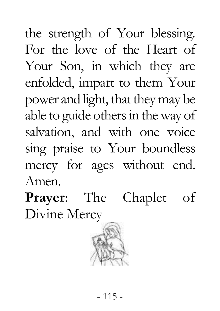the strength of Your blessing. For the love of the Heart of Your Son, in which they are enfolded, impart to them Your power and light, that they may be able to guide others in the way of salvation, and with one voice sing praise to Your boundless mercy for ages without end. Amen.

**Prayer**: The Chaplet of Divine Mercy

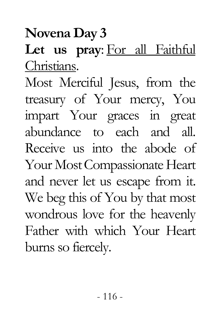**Novena Day 3**

#### **Let us pray**: For all Faithful Christians.

Most Merciful Jesus, from the treasury of Your mercy, You impart Your graces in great abundance to each and all. Receive us into the abode of Your Most Compassionate Heart and never let us escape from it. We beg this of You by that most wondrous love for the heavenly Father with which Your Heart burns so fiercely.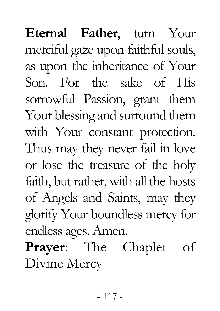**Eternal Father**, turn Your merciful gaze upon faithful souls, as upon the inheritance of Your Son. For the sake of His sorrowful Passion, grant them Your blessing and surround them with Your constant protection. Thus may they never fail in love or lose the treasure of the holy faith, but rather, with all the hosts of Angels and Saints, may they glorify Your boundless mercy for endless ages. Amen. **Prayer**: The Chaplet of

Divine Mercy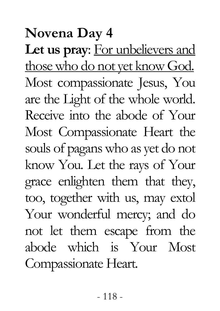## **Novena Day 4**

**Let us pray**: For unbelievers and those who do not yet know God. Most compassionate Jesus, You are the Light of the whole world. Receive into the abode of Your Most Compassionate Heart the souls of pagans who as yet do not know You. Let the rays of Your grace enlighten them that they, too, together with us, may extol Your wonderful mercy; and do not let them escape from the abode which is Your Most Compassionate Heart.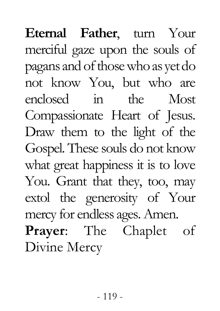**Eternal Father**, turn Your merciful gaze upon the souls of pagans and of those who as yet do not know You, but who are enclosed in the Most Compassionate Heart of Jesus. Draw them to the light of the Gospel. These souls do not know what great happiness it is to love You. Grant that they, too, may extol the generosity of Your mercy for endless ages. Amen. **Prayer**: The Chaplet of Divine Mercy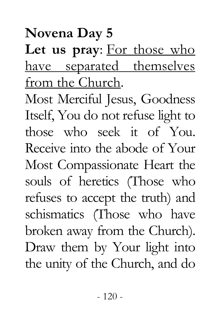**Let us pray**: For those who have separated themselves from the Church.

Most Merciful Jesus, Goodness Itself, You do not refuse light to those who seek it of You. Receive into the abode of Your Most Compassionate Heart the souls of heretics (Those who refuses to accept the truth) and schismatics (Those who have broken away from the Church). Draw them by Your light into the unity of the Church, and do

#### **Novena Day 5**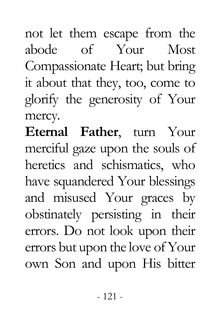not let them escape from the abode of Your Most Compassionate Heart; but bring it about that they, too, come to glorify the generosity of Your mercy.

**Eternal Father**, turn Your merciful gaze upon the souls of heretics and schismatics, who have squandered Your blessings and misused Your graces by obstinately persisting in their errors. Do not look upon their errors but upon the love of Your own Son and upon His bitter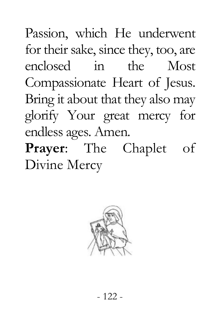Passion, which He underwent for their sake, since they, too, are enclosed in the Most Compassionate Heart of Jesus. Bring it about that they also may glorify Your great mercy for endless ages. Amen.

**Prayer**: The Chaplet of Divine Mercy

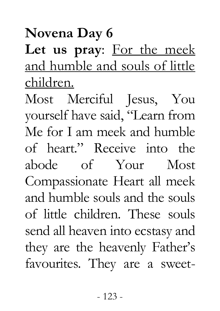**Novena Day 6**

Let us pray: For the meek and humble and souls of little children.

Most Merciful Jesus, You yourself have said, "Learn from Me for I am meek and humble of heart." Receive into the abode of Your Most Compassionate Heart all meek and humble souls and the souls of little children. These souls send all heaven into ecstasy and they are the heavenly Father's favourites. They are a sweet-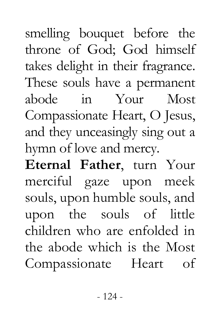smelling bouquet before the throne of God; God himself takes delight in their fragrance. These souls have a permanent abode in Your Most Compassionate Heart, O Jesus, and they unceasingly sing out a hymn of love and mercy.

**Eternal Father**, turn Your merciful gaze upon meek souls, upon humble souls, and upon the souls of little children who are enfolded in the abode which is the Most Compassionate Heart of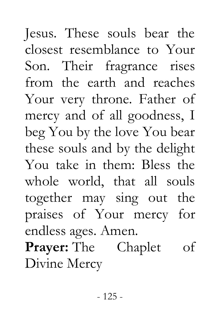- 125 mercy and of all goodness, I beg You by the love You bear these souls and by the delight You take in them: Bless the whole world, that all souls together may sing out the praises of Your mercy for endless ages. Amen. **Prayer:** The Chaplet of Divine Mercy

Jesus. These souls bear the closest resemblance to Your Son. Their fragrance rises from the earth and reaches Your very throne. Father of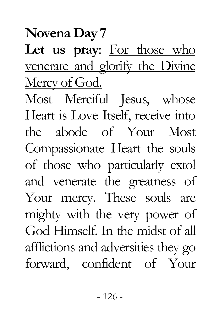**Novena Day 7**

Let us pray: For those who venerate and glorify the Divine Mercy of God.

Most Merciful Jesus, whose Heart is Love Itself, receive into the abode of Your Most Compassionate Heart the souls of those who particularly extol and venerate the greatness of Your mercy. These souls are mighty with the very power of God Himself. In the midst of all afflictions and adversities they go forward, confident of Your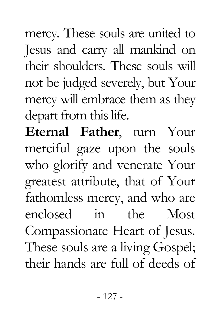mercy. These souls are united to Jesus and carry all mankind on their shoulders. These souls will not be judged severely, but Your mercy will embrace them as they depart from this life.

**Eternal Father**, turn Your merciful gaze upon the souls who glorify and venerate Your greatest attribute, that of Your fathomless mercy, and who are enclosed in the Most Compassionate Heart of Jesus. These souls are a living Gospel; their hands are full of deeds of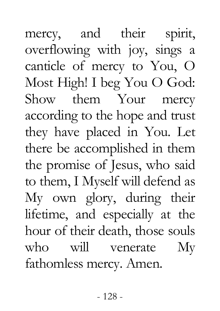mercy, and their spirit, overflowing with joy, sings a canticle of mercy to You, O Most High! I beg You O God: Show them Your mercy according to the hope and trust they have placed in You. Let there be accomplished in them the promise of Jesus, who said to them, I Myself will defend as My own glory, during their lifetime, and especially at the hour of their death, those souls who will venerate My fathomless mercy. Amen.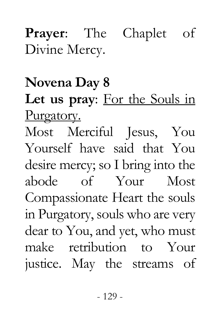### **Prayer**: The Chaplet of Divine Mercy.

#### **Novena Day 8**

Let us pray: For the Souls in Purgatory.

Most Merciful Jesus, You Yourself have said that You desire mercy; so I bring into the abode of Your Most Compassionate Heart the souls in Purgatory, souls who are very dear to You, and yet, who must make retribution to Your justice. May the streams of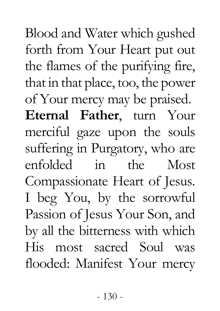Blood and Water which gushed forth from Your Heart put out the flames of the purifying fire, that in that place, too, the power of Your mercy may be praised. **Eternal Father**, turn Your merciful gaze upon the souls suffering in Purgatory, who are enfolded in the Most Compassionate Heart of Jesus. I beg You, by the sorrowful Passion of Jesus Your Son, and by all the bitterness with which His most sacred Soul was flooded: Manifest Your mercy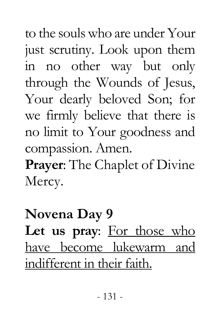to the souls who are under Your just scrutiny. Look upon them in no other way but only through the Wounds of Jesus, Your dearly beloved Son; for we firmly believe that there is no limit to Your goodness and compassion. Amen.

**Prayer**: The Chaplet of Divine Mercy.

## **Novena Day 9** Let us pray: For those who have become lukewarm and indifferent in their faith.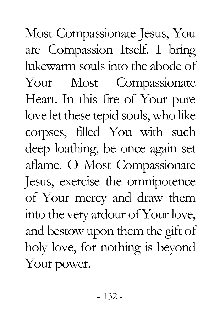Most Compassionate Jesus, You are Compassion Itself. I bring lukewarm souls into the abode of Your Most Compassionate Heart. In this fire of Your pure love let these tepid souls, who like corpses, filled You with such deep loathing, be once again set aflame. O Most Compassionate Jesus, exercise the omnipotence of Your mercy and draw them into the very ardour of Your love, and bestow upon them the gift of holy love, for nothing is beyond Your power.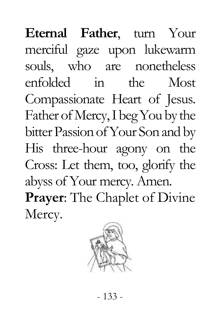**Eternal Father**, turn Your merciful gaze upon lukewarm souls, who are nonetheless enfolded in the Most Compassionate Heart of Jesus. Father of Mercy, I beg You by the bitter Passion of Your Son and by His three-hour agony on the Cross: Let them, too, glorify the abyss of Your mercy. Amen. **Prayer**: The Chaplet of Divine Mercy.

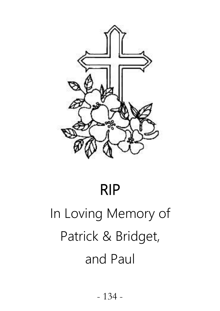

#### RIP

# In Loving Memory of Patrick & Bridget, and Paul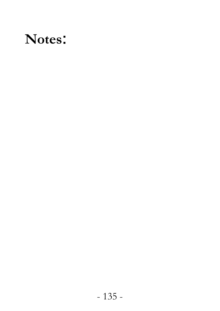## **Notes**: